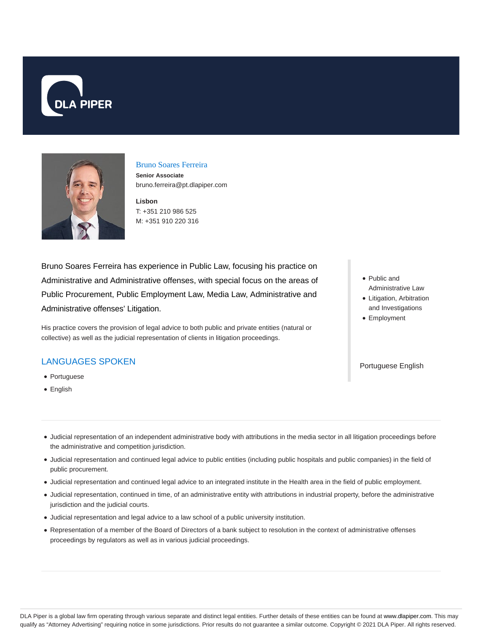



### Bruno Soares Ferreira

**Senior Associate** bruno.ferreira@pt.dlapiper.com

**Lisbon** T: +351 210 986 525 M: +351 910 220 316

Bruno Soares Ferreira has experience in Public Law, focusing his practice on Administrative and Administrative offenses, with special focus on the areas of Public Procurement, Public Employment Law, Media Law, Administrative and Administrative offenses' Litigation.

His practice covers the provision of legal advice to both public and private entities (natural or collective) as well as the judicial representation of clients in litigation proceedings.

## LANGUAGES SPOKEN

- Portuguese
- English
- Public and Administrative Law
- Litigation, Arbitration and Investigations
- Employment

#### Portuguese English

- Judicial representation of an independent administrative body with attributions in the media sector in all litigation proceedings before the administrative and competition jurisdiction.
- Judicial representation and continued legal advice to public entities (including public hospitals and public companies) in the field of public procurement.
- Judicial representation and continued legal advice to an integrated institute in the Health area in the field of public employment.
- Judicial representation, continued in time, of an administrative entity with attributions in industrial property, before the administrative jurisdiction and the judicial courts.
- Judicial representation and legal advice to a law school of a public university institution.
- Representation of a member of the Board of Directors of a bank subject to resolution in the context of administrative offenses proceedings by regulators as well as in various judicial proceedings.